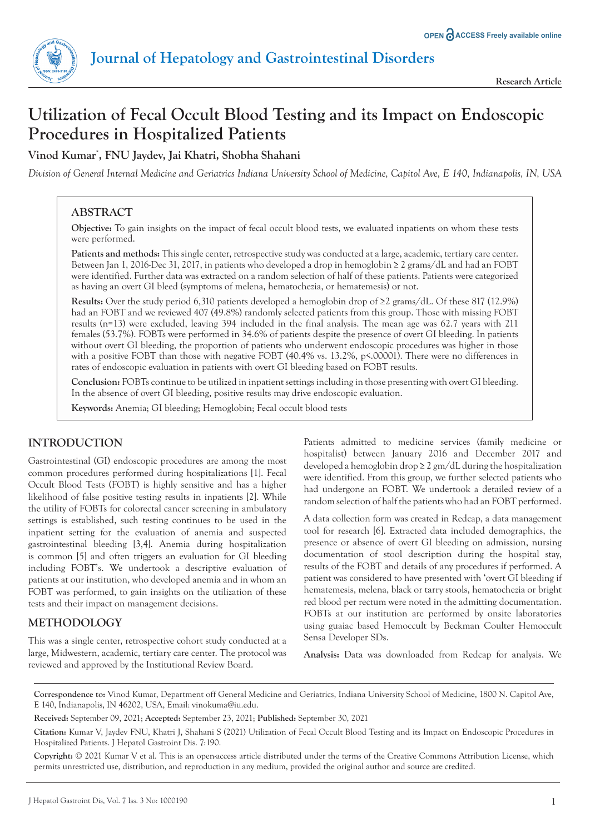

# **Utilization of Fecal Occult Blood Testing and its Impact on Endoscopic Procedures in Hospitalized Patients**

# **Vinod Kumar\* , FNU Jaydev, Jai Khatri, Shobha Shahani**

*Division of General Internal Medicine and Geriatrics Indiana University School of Medicine, Capitol Ave, E 140, Indianapolis, IN, USA*

# **ABSTRACT**

**Objective:** To gain insights on the impact of fecal occult blood tests, we evaluated inpatients on whom these tests were performed.

**Patients and methods:** This single center, retrospective study was conducted at a large, academic, tertiary care center. Between Jan 1, 2016-Dec 31, 2017, in patients who developed a drop in hemoglobin ≥ 2 grams/dL and had an FOBT were identified. Further data was extracted on a random selection of half of these patients. Patients were categorized as having an overt GI bleed (symptoms of melena, hematochezia, or hematemesis) or not.

**Results:** Over the study period 6,310 patients developed a hemoglobin drop of ≥2 grams/dL. Of these 817 (12.9%) had an FOBT and we reviewed 407 (49.8%) randomly selected patients from this group. Those with missing FOBT results (n=13) were excluded, leaving 394 included in the final analysis. The mean age was 62.7 years with 211 females (53.7%). FOBTs were performed in 34.6% of patients despite the presence of overt GI bleeding. In patients without overt GI bleeding, the proportion of patients who underwent endoscopic procedures was higher in those with a positive FOBT than those with negative FOBT (40.4% vs. 13.2%, p<.00001). There were no differences in rates of endoscopic evaluation in patients with overt GI bleeding based on FOBT results.

**Conclusion:** FOBTs continue to be utilized in inpatient settings including in those presenting with overt GI bleeding. In the absence of overt GI bleeding, positive results may drive endoscopic evaluation.

**Keywords:** Anemia; GI bleeding; Hemoglobin; Fecal occult blood tests

# **INTRODUCTION**

Gastrointestinal (GI) endoscopic procedures are among the most common procedures performed during hospitalizations [1]. Fecal Occult Blood Tests (FOBT) is highly sensitive and has a higher likelihood of false positive testing results in inpatients [2]. While the utility of FOBTs for colorectal cancer screening in ambulatory settings is established, such testing continues to be used in the inpatient setting for the evaluation of anemia and suspected gastrointestinal bleeding [3,4]. Anemia during hospitalization is common [5] and often triggers an evaluation for GI bleeding including FOBT's. We undertook a descriptive evaluation of patients at our institution, who developed anemia and in whom an FOBT was performed, to gain insights on the utilization of these tests and their impact on management decisions.

## **METHODOLOGY**

This was a single center, retrospective cohort study conducted at a large, Midwestern, academic, tertiary care center. The protocol was reviewed and approved by the Institutional Review Board.

Patients admitted to medicine services (family medicine or hospitalist) between January 2016 and December 2017 and developed a hemoglobin drop  $\geq 2$  gm/dL during the hospitalization were identified. From this group, we further selected patients who had undergone an FOBT. We undertook a detailed review of a random selection of half the patients who had an FOBT performed.

A data collection form was created in Redcap, a data management tool for research [6]. Extracted data included demographics, the presence or absence of overt GI bleeding on admission, nursing documentation of stool description during the hospital stay, results of the FOBT and details of any procedures if performed. A patient was considered to have presented with 'overt GI bleeding if hematemesis, melena, black or tarry stools, hematochezia or bright red blood per rectum were noted in the admitting documentation. FOBTs at our institution are performed by onsite laboratories using guaiac based Hemoccult by Beckman Coulter Hemoccult Sensa Developer SDs.

**Analysis:** Data was downloaded from Redcap for analysis. We

**Correspondence to:** Vinod Kumar, Department off General Medicine and Geriatrics, Indiana University School of Medicine, 1800 N. Capitol Ave, E 140, Indianapolis, IN 46202, USA, Email: vinokuma@iu.edu.

**Received:** September 09, 2021; **Accepted:** September 23, 2021; **Published:** September 30, 2021

**Citation:** Kumar V, Jaydev FNU, Khatri J, Shahani S (2021) Utilization of Fecal Occult Blood Testing and its Impact on Endoscopic Procedures in Hospitalized Patients. J Hepatol Gastroint Dis. 7:190.

**Copyright:** © 2021 Kumar V et al. This is an open-access article distributed under the terms of the Creative Commons Attribution License, which permits unrestricted use, distribution, and reproduction in any medium, provided the original author and source are credited.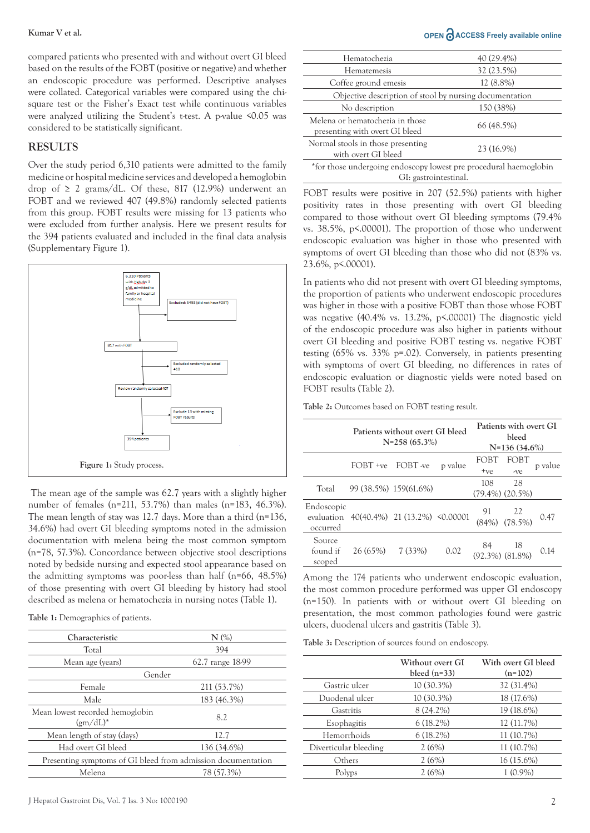compared patients who presented with and without overt GI bleed based on the results of the FOBT (positive or negative) and whether an endoscopic procedure was performed. Descriptive analyses were collated. Categorical variables were compared using the chisquare test or the Fisher's Exact test while continuous variables were analyzed utilizing the Student's t-test. A p-value <0.05 was considered to be statistically significant.

### **RESULTS**

Over the study period 6,310 patients were admitted to the family medicine or hospital medicine services and developed a hemoglobin drop of  $\geq 2$  grams/dL. Of these, 817 (12.9%) underwent an FOBT and we reviewed 407 (49.8%) randomly selected patients from this group. FOBT results were missing for 13 patients who were excluded from further analysis. Here we present results for the 394 patients evaluated and included in the final data analysis (Supplementary Figure 1).



 The mean age of the sample was 62.7 years with a slightly higher number of females (n=211, 53.7%) than males (n=183, 46.3%). The mean length of stay was 12.7 days. More than a third (n=136, 34.6%) had overt GI bleeding symptoms noted in the admission documentation with melena being the most common symptom (n=78, 57.3%). Concordance between objective stool descriptions noted by bedside nursing and expected stool appearance based on the admitting symptoms was poor-less than half (n=66, 48.5%) of those presenting with overt GI bleeding by history had stool described as melena or hematochezia in nursing notes (Table 1).

**Table 1:** Demographics of patients.

| Characteristic                                               | $N$ $\left(\% \right)$ |  |  |
|--------------------------------------------------------------|------------------------|--|--|
| Total                                                        | 394                    |  |  |
| Mean age (years)                                             | 62.7 range 18-99       |  |  |
| Gender                                                       |                        |  |  |
| Female                                                       | 211 (53.7%)            |  |  |
| Male                                                         | 183 (46.3%)            |  |  |
| Mean lowest recorded hemoglobin<br>$(gm/dL)^*$               | 8.2                    |  |  |
| Mean length of stay (days)                                   | 12.7                   |  |  |
| Had overt GI bleed                                           | 136 (34.6%)            |  |  |
| Presenting symptoms of GI bleed from admission documentation |                        |  |  |
| Melena                                                       | 78 (57.3%)             |  |  |

#### **Kumar V et al. OPEN ACCESS Freely available online**

| Hematochezia                                                                               | 40 (29.4%) |  |  |
|--------------------------------------------------------------------------------------------|------------|--|--|
| Hematemesis                                                                                | 32 (23.5%) |  |  |
| Coffee ground emesis                                                                       | 12 (8.8%)  |  |  |
| Objective description of stool by nursing documentation                                    |            |  |  |
| No description                                                                             | 150 (38%)  |  |  |
| Melena or hematochezia in those<br>presenting with overt GI bleed                          | 66 (48.5%) |  |  |
| Normal stools in those presenting<br>with overt GI bleed                                   | 23 (16.9%) |  |  |
| *for those undergoing endoscopy lowest pre procedural haemoglobin<br>GI: gastrointestinal. |            |  |  |

FOBT results were positive in 207 (52.5%) patients with higher positivity rates in those presenting with overt GI bleeding compared to those without overt GI bleeding symptoms (79.4% vs. 38.5%, p<.00001). The proportion of those who underwent endoscopic evaluation was higher in those who presented with symptoms of overt GI bleeding than those who did not (83% vs. 23.6%, p<.00001).

In patients who did not present with overt GI bleeding symptoms, the proportion of patients who underwent endoscopic procedures was higher in those with a positive FOBT than those whose FOBT was negative (40.4% vs. 13.2%, p<.00001) The diagnostic yield of the endoscopic procedure was also higher in patients without overt GI bleeding and positive FOBT testing vs. negative FOBT testing (65% vs. 33% p=.02). Conversely, in patients presenting with symptoms of overt GI bleeding, no differences in rates of endoscopic evaluation or diagnostic yields were noted based on FOBT results (Table 2).

**Table 2:** Outcomes based on FOBT testing result.

|                                      |                        | Patients without overt GI bleed<br>$N=258(65.3\%)$ | Patients with overt GI<br>hleed<br>$N=136(34.6\%)$ |                          |                             |         |
|--------------------------------------|------------------------|----------------------------------------------------|----------------------------------------------------|--------------------------|-----------------------------|---------|
|                                      | FOBT +ve FOBT -ve      |                                                    | p value                                            | FOBT<br>$+ve$            | FOBT<br>-ve                 | p value |
| Total                                | 99 (38.5%) 159 (61.6%) |                                                    |                                                    | 108                      | 28<br>$(79.4\%)$ $(20.5\%)$ |         |
| Endoscopic<br>evaluation<br>occurred |                        | 40(40.4%) 21 (13.2%) <0.00001                      |                                                    |                          | 91 22<br>(84%) (78.5%)      | 0.47    |
| Source<br>found if<br>scoped         | 26 (65%) 7 (33%)       |                                                    | 0.02                                               | 84 18<br>(92.3%) (81.8%) |                             | 0.14    |

Among the 174 patients who underwent endoscopic evaluation, the most common procedure performed was upper GI endoscopy (n=150). In patients with or without overt GI bleeding on presentation, the most common pathologies found were gastric ulcers, duodenal ulcers and gastritis (Table 3).

**Table 3:** Description of sources found on endoscopy.

|                       | Without overt GI<br>bleed $(n=33)$ | With overt GI bleed<br>$(n=102)$ |  |  |
|-----------------------|------------------------------------|----------------------------------|--|--|
| Gastric ulcer         | $10(30.3\%)$                       | 32 (31.4%)                       |  |  |
| Duodenal ulcer        | 10 (30.3%)                         | 18 (17.6%)                       |  |  |
| Gastritis             | 8 (24.2%)                          | 19 (18.6%)                       |  |  |
| Esophagitis           | $6(18.2\%)$                        | 12 (11.7%)                       |  |  |
| Hemorrhoids           | $6(18.2\%)$                        | 11 (10.7%)                       |  |  |
| Diverticular bleeding | 2(6%)                              | 11 (10.7%)                       |  |  |
| Others                | 2(6%)                              | $16(15.6\%)$                     |  |  |
| Polyps                | 2(6%)                              | $1(0.9\%)$                       |  |  |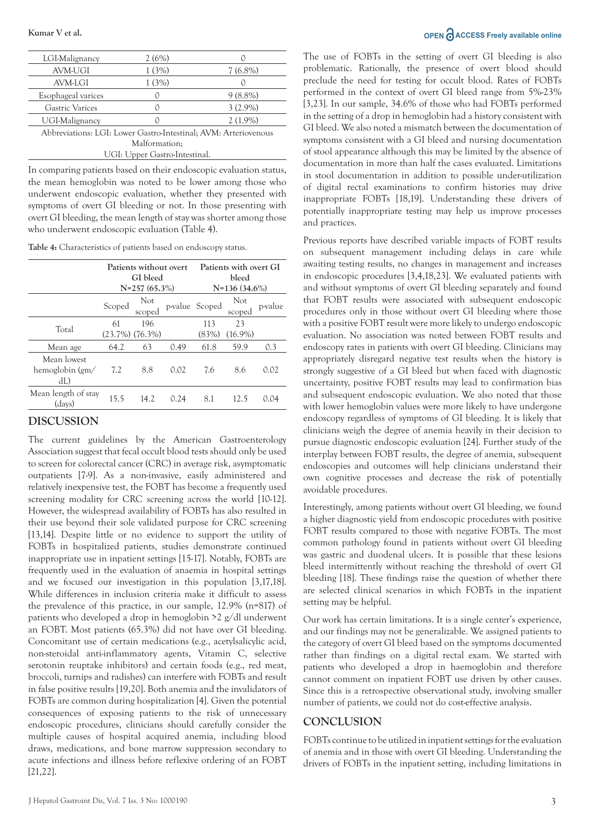| LGI-Malignancy                                                  | 2(6%) |                  |  |  |
|-----------------------------------------------------------------|-------|------------------|--|--|
| <b>AVM-UGI</b>                                                  | 1(3%) | $7(6.8\%)$       |  |  |
| AVM-LGI                                                         | 1(3%) | $\left( \right)$ |  |  |
| Esophageal varices                                              |       | $9(8.8\%)$       |  |  |
| Gastric Varices                                                 |       | $3(2.9\%)$       |  |  |
| UGI-Malignancy                                                  |       | $2(1.9\%)$       |  |  |
| Abbreviations: LGI: Lower Gastro-Intestinal; AVM: Arteriovenous |       |                  |  |  |
| Malformation;                                                   |       |                  |  |  |
| UGI: Upper Gastro-Intestinal.                                   |       |                  |  |  |
|                                                                 |       |                  |  |  |

In comparing patients based on their endoscopic evaluation status, the mean hemoglobin was noted to be lower among those who underwent endoscopic evaluation, whether they presented with symptoms of overt GI bleeding or not. In those presenting with overt GI bleeding, the mean length of stay was shorter among those who underwent endoscopic evaluation (Table 4).

**Table 4:** Characteristics of patients based on endoscopy status.

|                                       | Patients without overt<br>GI bleed<br>$N=257(65.3\%)$ |                            |      | Patients with overt GI<br>bleed<br>$N=136(34.6\%)$ |                  |         |
|---------------------------------------|-------------------------------------------------------|----------------------------|------|----------------------------------------------------|------------------|---------|
|                                       | Scoped                                                | Not<br>scoped              |      | p-value Scoped                                     | Not<br>scoped    | p-value |
| Total                                 | 61                                                    | 196<br>$(23.7\%) (76.3\%)$ |      | 113<br>(83%)                                       | 23<br>$(16.9\%)$ |         |
| Mean age                              | 64.2                                                  | 63                         | 0.49 | 61.8                                               | 59.9             | 0.3     |
| Mean lowest<br>hemoglobin (gm/<br>dL) | 7.2                                                   | 8.8                        | 0.02 | 7.6                                                | 8.6              | 0.02    |
| Mean length of stay<br>(days)         | 15.5                                                  | 14.2                       | 0.24 | 8.1                                                | 12.5             | 0.04    |

### **DISCUSSION**

The current guidelines by the American Gastroenterology Association suggest that fecal occult blood tests should only be used to screen for colorectal cancer (CRC) in average risk, asymptomatic outpatients [7-9]. As a non-invasive, easily administered and relatively inexpensive test, the FOBT has become a frequently used screening modality for CRC screening across the world [10-12]. However, the widespread availability of FOBTs has also resulted in their use beyond their sole validated purpose for CRC screening [13,14]. Despite little or no evidence to support the utility of FOBTs in hospitalized patients, studies demonstrate continued inappropriate use in inpatient settings [15-17]. Notably, FOBTs are frequently used in the evaluation of anaemia in hospital settings and we focused our investigation in this population [3,17,18]. While differences in inclusion criteria make it difficult to assess the prevalence of this practice, in our sample, 12.9% (n=817) of patients who developed a drop in hemoglobin >2 g/dl underwent an FOBT. Most patients (65.3%) did not have over GI bleeding. Concomitant use of certain medications (e.g., acetylsalicylic acid, non-steroidal anti-inflammatory agents, Vitamin C, selective serotonin reuptake inhibitors) and certain foods (e.g., red meat, broccoli, turnips and radishes) can interfere with FOBTs and result in false positive results [19,20]. Both anemia and the invalidators of FOBTs are common during hospitalization [4]. Given the potential consequences of exposing patients to the risk of unnecessary endoscopic procedures, clinicians should carefully consider the multiple causes of hospital acquired anemia, including blood draws, medications, and bone marrow suppression secondary to acute infections and illness before reflexive ordering of an FOBT [21,22].

The use of FOBTs in the setting of overt GI bleeding is also problematic. Rationally, the presence of overt blood should preclude the need for testing for occult blood. Rates of FOBTs performed in the context of overt GI bleed range from 5%-23% [3,23]. In our sample, 34.6% of those who had FOBTs performed in the setting of a drop in hemoglobin had a history consistent with GI bleed. We also noted a mismatch between the documentation of symptoms consistent with a GI bleed and nursing documentation of stool appearance although this may be limited by the absence of documentation in more than half the cases evaluated. Limitations in stool documentation in addition to possible under-utilization of digital rectal examinations to confirm histories may drive inappropriate FOBTs [18,19]. Understanding these drivers of potentially inappropriate testing may help us improve processes and practices.

Previous reports have described variable impacts of FOBT results on subsequent management including delays in care while awaiting testing results, no changes in management and increases in endoscopic procedures [3,4,18,23]. We evaluated patients with and without symptoms of overt GI bleeding separately and found that FOBT results were associated with subsequent endoscopic procedures only in those without overt GI bleeding where those with a positive FOBT result were more likely to undergo endoscopic evaluation. No association was noted between FOBT results and endoscopy rates in patients with overt GI bleeding. Clinicians may appropriately disregard negative test results when the history is strongly suggestive of a GI bleed but when faced with diagnostic uncertainty, positive FOBT results may lead to confirmation bias and subsequent endoscopic evaluation. We also noted that those with lower hemoglobin values were more likely to have undergone endoscopy regardless of symptoms of GI bleeding. It is likely that clinicians weigh the degree of anemia heavily in their decision to pursue diagnostic endoscopic evaluation [24]. Further study of the interplay between FOBT results, the degree of anemia, subsequent endoscopies and outcomes will help clinicians understand their own cognitive processes and decrease the risk of potentially avoidable procedures.

Interestingly, among patients without overt GI bleeding, we found a higher diagnostic yield from endoscopic procedures with positive FOBT results compared to those with negative FOBTs. The most common pathology found in patients without overt GI bleeding was gastric and duodenal ulcers. It is possible that these lesions bleed intermittently without reaching the threshold of overt GI bleeding [18]. These findings raise the question of whether there are selected clinical scenarios in which FOBTs in the inpatient setting may be helpful.

Our work has certain limitations. It is a single center's experience, and our findings may not be generalizable. We assigned patients to the category of overt GI bleed based on the symptoms documented rather than findings on a digital rectal exam. We started with patients who developed a drop in haemoglobin and therefore cannot comment on inpatient FOBT use driven by other causes. Since this is a retrospective observational study, involving smaller number of patients, we could not do cost-effective analysis.

#### **CONCLUSION**

FOBTs continue to be utilized in inpatient settings for the evaluation of anemia and in those with overt GI bleeding. Understanding the drivers of FOBTs in the inpatient setting, including limitations in